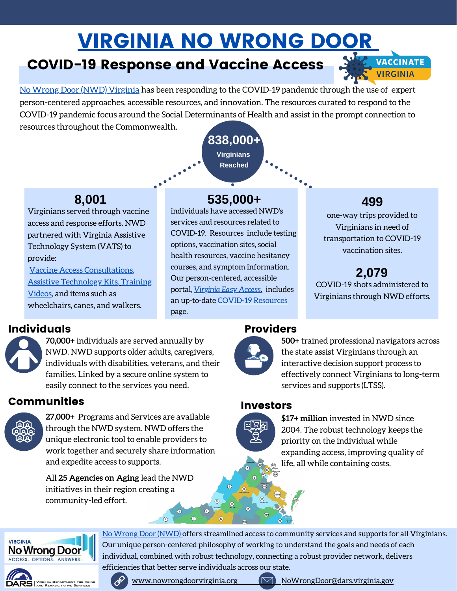# [VIRGINIA NO WRONG DOOR](https://www.nowrongdoorvirginia.org/)

## COVID-19 Response and Vaccine Access

[No Wrong Door \(NWD\) Virginia](https://www.nowrongdoorvirginia.org/) has been responding to the COVID-19 pandemic through the use of expert person-centered approaches, accessible resources, and innovation. The resources curated to respond to the COVID-19 pandemic focus around the Social Determinants of Health and assist in the prompt connection to resources throughout the Commonwealth.

Virginians served through vaccine access and response efforts. NWD partnered with Virginia Assistive Technology System (VATS) to provide:

[Vaccine Access Consultations](https://www.youtube.com/watch?v=r3XvIn72m40)[,](https://easyaccess.virginia.gov/sites/default/files/NWD%20VATS%20Paper_12.14.21%20version%20(1).pdf) [Assistive Technology Kits](https://easyaccess.virginia.gov/sites/default/files/NWD%20VATS%20Paper_12.14.21%20version%20(1).pdf)[,](https://www.nowrongdoortraining.dars.virginia.gov/) Training Videos, and items such as wheelchairs, canes, and walkers.

## **8,001 535,000+ 499**

**838,000+ Virginians Reached**

individuals have accessed NWD's services and resources related to COVID-19. Resources include testing options, vaccination sites, social health resources, vaccine hesitancy courses, and symptom information. Our person-centered, accessible portal, *[Virginia Easy Access,](https://easyaccess.virginia.gov/)* includes an up-to-date [COVID-19 Resources](https://easyaccess.virginia.gov/healthcare) page.

**VACCINATE VIRGINIA** 

one-way trips provided to Virginians in need of transportation to COVID-19 vaccination sites.

**2,079** COVID-19 shots administered to Virginians through NWD efforts.

## **Individuals** Providers

**70,000+** individuals are served annually by NWD. NWD supports older adults, caregivers, individuals with disabilities, veterans, and their families. Linked by a secure online system to easily connect to the services you need.

## Communities Investors



**27,000+** Programs and Services are available through the NWD system. NWD offers the unique electronic tool to enable providers to work together and securely share information and expedite access to supports.

All **25 Agencies on Aging** lead the NWD initiatives in their region creating a community-led effort.



**500+** trained professional navigators across the state assist Virginians through an interactive decision support process to effectively connect Virginians to long-term services and supports (LTSS).

[No Wrong Door \(NWD\)](https://www.nowrongdoorvirginia.org/) offers streamlined access to community services and supports for all Virginians.

Our unique person-centered philosophy of working to understand the goals and needs of each individual, combined with robust technology, connecting a robust provider network, delivers



**\$17+ million** invested in NWD since 2004. The robust technology keeps the priority on the individual while expanding access, improving quality of life, all while containing costs.



efficiencies that better serve individuals across our state.

[www.nowrongdoorvirginia.org](http://www.nowrongdoorvirginia.org/)  $\boxdot$  [NoWrongDoor@dars.virginia.gov](mailto:NoWrongDoor@dars.virginia.gov)